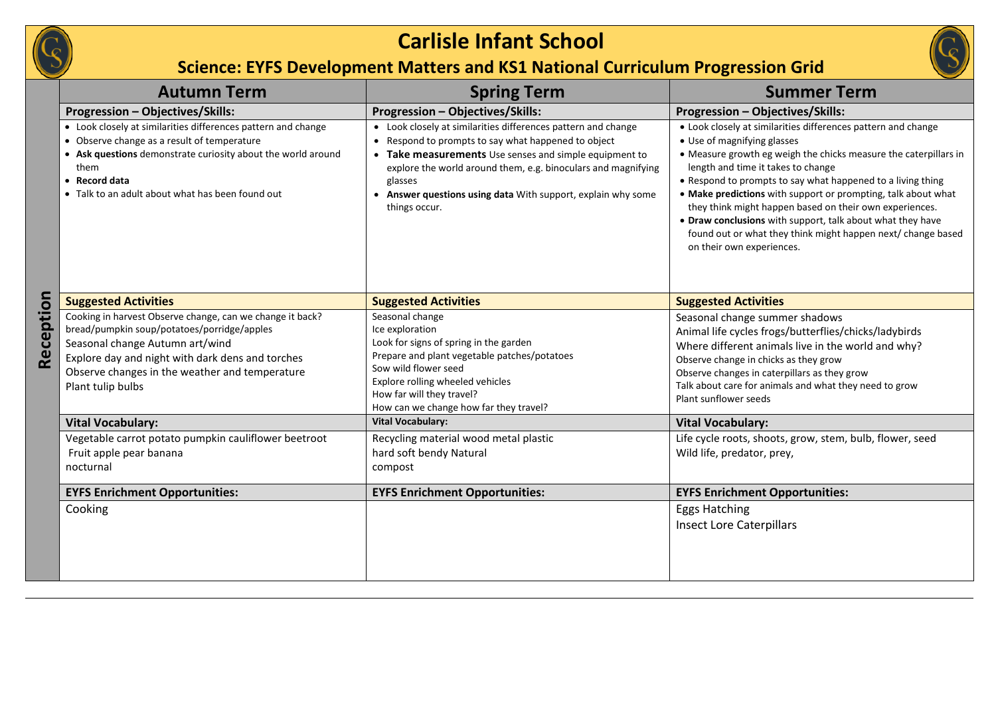

## **Carlisle Infant School**

**Science: EYFS Development Matters and KS1 National Curriculum Progression Grid**

|           | <b>Autumn Term</b>                                                                                                                                                                                                                                                     | <b>Spring Term</b>                                                                                                                                                                                                                                                                                                                          | <b>Summer Term</b>                                                                                                                                                                                                                                                                                                                                                                                                                                                                                                                                           |
|-----------|------------------------------------------------------------------------------------------------------------------------------------------------------------------------------------------------------------------------------------------------------------------------|---------------------------------------------------------------------------------------------------------------------------------------------------------------------------------------------------------------------------------------------------------------------------------------------------------------------------------------------|--------------------------------------------------------------------------------------------------------------------------------------------------------------------------------------------------------------------------------------------------------------------------------------------------------------------------------------------------------------------------------------------------------------------------------------------------------------------------------------------------------------------------------------------------------------|
|           | Progression - Objectives/Skills:                                                                                                                                                                                                                                       | Progression - Objectives/Skills:                                                                                                                                                                                                                                                                                                            | Progression - Objectives/Skills:                                                                                                                                                                                                                                                                                                                                                                                                                                                                                                                             |
|           | • Look closely at similarities differences pattern and change<br>• Observe change as a result of temperature<br>• Ask questions demonstrate curiosity about the world around<br>them<br>• Record data<br>• Talk to an adult about what has been found out              | • Look closely at similarities differences pattern and change<br>• Respond to prompts to say what happened to object<br>• Take measurements Use senses and simple equipment to<br>explore the world around them, e.g. binoculars and magnifying<br>glasses<br>• Answer questions using data With support, explain why some<br>things occur. | • Look closely at similarities differences pattern and change<br>• Use of magnifying glasses<br>• Measure growth eg weigh the chicks measure the caterpillars in<br>length and time it takes to change<br>• Respond to prompts to say what happened to a living thing<br>• Make predictions with support or prompting, talk about what<br>they think might happen based on their own experiences.<br>• Draw conclusions with support, talk about what they have<br>found out or what they think might happen next/ change based<br>on their own experiences. |
|           | <b>Suggested Activities</b>                                                                                                                                                                                                                                            | <b>Suggested Activities</b>                                                                                                                                                                                                                                                                                                                 | <b>Suggested Activities</b>                                                                                                                                                                                                                                                                                                                                                                                                                                                                                                                                  |
| Reception | Cooking in harvest Observe change, can we change it back?<br>bread/pumpkin soup/potatoes/porridge/apples<br>Seasonal change Autumn art/wind<br>Explore day and night with dark dens and torches<br>Observe changes in the weather and temperature<br>Plant tulip bulbs | Seasonal change<br>Ice exploration<br>Look for signs of spring in the garden<br>Prepare and plant vegetable patches/potatoes<br>Sow wild flower seed<br>Explore rolling wheeled vehicles<br>How far will they travel?<br>How can we change how far they travel?                                                                             | Seasonal change summer shadows<br>Animal life cycles frogs/butterflies/chicks/ladybirds<br>Where different animals live in the world and why?<br>Observe change in chicks as they grow<br>Observe changes in caterpillars as they grow<br>Talk about care for animals and what they need to grow<br>Plant sunflower seeds                                                                                                                                                                                                                                    |
|           | <b>Vital Vocabulary:</b>                                                                                                                                                                                                                                               | <b>Vital Vocabulary:</b>                                                                                                                                                                                                                                                                                                                    | <b>Vital Vocabulary:</b>                                                                                                                                                                                                                                                                                                                                                                                                                                                                                                                                     |
|           | Vegetable carrot potato pumpkin cauliflower beetroot<br>Fruit apple pear banana<br>nocturnal                                                                                                                                                                           | Recycling material wood metal plastic<br>hard soft bendy Natural<br>compost                                                                                                                                                                                                                                                                 | Life cycle roots, shoots, grow, stem, bulb, flower, seed<br>Wild life, predator, prey,                                                                                                                                                                                                                                                                                                                                                                                                                                                                       |
|           | <b>EYFS Enrichment Opportunities:</b>                                                                                                                                                                                                                                  | <b>EYFS Enrichment Opportunities:</b>                                                                                                                                                                                                                                                                                                       | <b>EYFS Enrichment Opportunities:</b>                                                                                                                                                                                                                                                                                                                                                                                                                                                                                                                        |
|           | Cooking                                                                                                                                                                                                                                                                |                                                                                                                                                                                                                                                                                                                                             | Eggs Hatching<br><b>Insect Lore Caterpillars</b>                                                                                                                                                                                                                                                                                                                                                                                                                                                                                                             |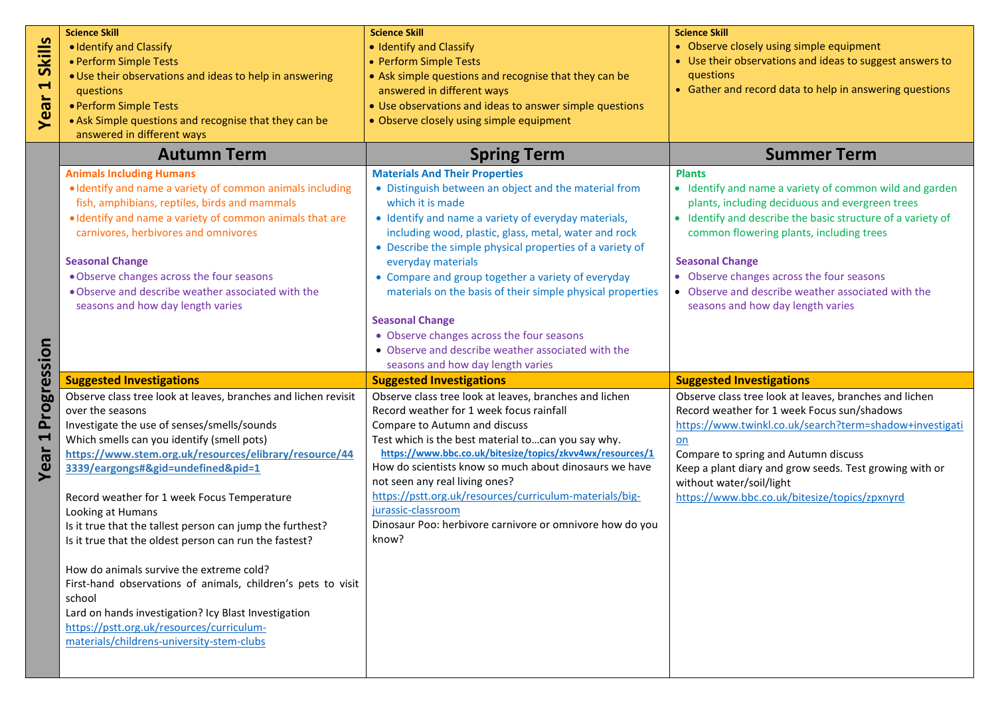| • Use their observations and ideas to suggest answers to<br>• Gather and record data to help in answering questions<br>• Identify and name a variety of common wild and garden<br>plants, including deciduous and evergreen trees<br>• Identify and describe the basic structure of a variety of<br>• Observe and describe weather associated with the |
|--------------------------------------------------------------------------------------------------------------------------------------------------------------------------------------------------------------------------------------------------------------------------------------------------------------------------------------------------------|
|                                                                                                                                                                                                                                                                                                                                                        |
|                                                                                                                                                                                                                                                                                                                                                        |
|                                                                                                                                                                                                                                                                                                                                                        |
|                                                                                                                                                                                                                                                                                                                                                        |
|                                                                                                                                                                                                                                                                                                                                                        |
|                                                                                                                                                                                                                                                                                                                                                        |
|                                                                                                                                                                                                                                                                                                                                                        |
|                                                                                                                                                                                                                                                                                                                                                        |
|                                                                                                                                                                                                                                                                                                                                                        |
|                                                                                                                                                                                                                                                                                                                                                        |
|                                                                                                                                                                                                                                                                                                                                                        |
|                                                                                                                                                                                                                                                                                                                                                        |
|                                                                                                                                                                                                                                                                                                                                                        |
|                                                                                                                                                                                                                                                                                                                                                        |
|                                                                                                                                                                                                                                                                                                                                                        |
|                                                                                                                                                                                                                                                                                                                                                        |
|                                                                                                                                                                                                                                                                                                                                                        |
|                                                                                                                                                                                                                                                                                                                                                        |
|                                                                                                                                                                                                                                                                                                                                                        |
|                                                                                                                                                                                                                                                                                                                                                        |
|                                                                                                                                                                                                                                                                                                                                                        |
|                                                                                                                                                                                                                                                                                                                                                        |
|                                                                                                                                                                                                                                                                                                                                                        |
| Observe class tree look at leaves, branches and lichen                                                                                                                                                                                                                                                                                                 |
| https://www.twinkl.co.uk/search?term=shadow+investigati                                                                                                                                                                                                                                                                                                |
|                                                                                                                                                                                                                                                                                                                                                        |
|                                                                                                                                                                                                                                                                                                                                                        |
| Keep a plant diary and grow seeds. Test growing with or                                                                                                                                                                                                                                                                                                |
|                                                                                                                                                                                                                                                                                                                                                        |
|                                                                                                                                                                                                                                                                                                                                                        |
|                                                                                                                                                                                                                                                                                                                                                        |
|                                                                                                                                                                                                                                                                                                                                                        |
|                                                                                                                                                                                                                                                                                                                                                        |
|                                                                                                                                                                                                                                                                                                                                                        |
|                                                                                                                                                                                                                                                                                                                                                        |
|                                                                                                                                                                                                                                                                                                                                                        |
|                                                                                                                                                                                                                                                                                                                                                        |
|                                                                                                                                                                                                                                                                                                                                                        |
|                                                                                                                                                                                                                                                                                                                                                        |
|                                                                                                                                                                                                                                                                                                                                                        |
|                                                                                                                                                                                                                                                                                                                                                        |
| Record weather for 1 week Focus sun/shadows<br>https://www.bbc.co.uk/bitesize/topics/zpxnyrd                                                                                                                                                                                                                                                           |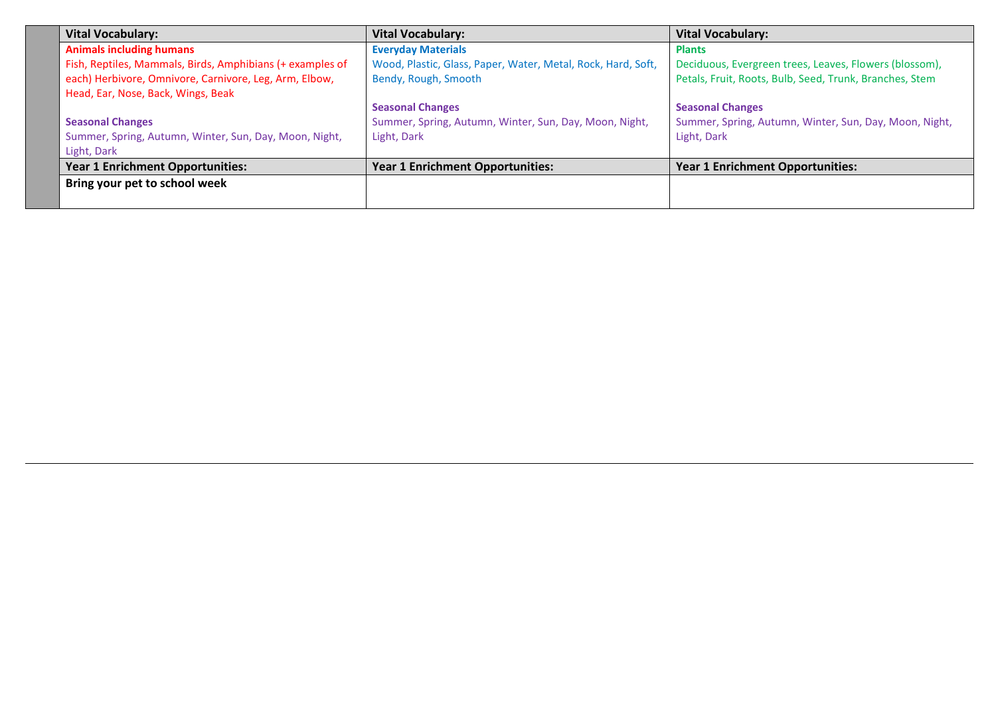| <b>Vital Vocabulary:</b>                                  | <b>Vital Vocabulary:</b>                                     | <b>Vital Vocabulary:</b>                                |
|-----------------------------------------------------------|--------------------------------------------------------------|---------------------------------------------------------|
| <b>Animals including humans</b>                           | <b>Everyday Materials</b>                                    | <b>Plants</b>                                           |
| Fish, Reptiles, Mammals, Birds, Amphibians (+ examples of | Wood, Plastic, Glass, Paper, Water, Metal, Rock, Hard, Soft, | Deciduous, Evergreen trees, Leaves, Flowers (blossom),  |
| each) Herbivore, Omnivore, Carnivore, Leg, Arm, Elbow,    | Bendy, Rough, Smooth                                         | Petals, Fruit, Roots, Bulb, Seed, Trunk, Branches, Stem |
| Head, Ear, Nose, Back, Wings, Beak                        |                                                              |                                                         |
|                                                           | <b>Seasonal Changes</b>                                      | <b>Seasonal Changes</b>                                 |
| <b>Seasonal Changes</b>                                   | Summer, Spring, Autumn, Winter, Sun, Day, Moon, Night,       | Summer, Spring, Autumn, Winter, Sun, Day, Moon, Night,  |
| Summer, Spring, Autumn, Winter, Sun, Day, Moon, Night,    | Light, Dark                                                  | Light, Dark                                             |
| Light, Dark                                               |                                                              |                                                         |
| <b>Year 1 Enrichment Opportunities:</b>                   | <b>Year 1 Enrichment Opportunities:</b>                      | <b>Year 1 Enrichment Opportunities:</b>                 |
| Bring your pet to school week                             |                                                              |                                                         |
|                                                           |                                                              |                                                         |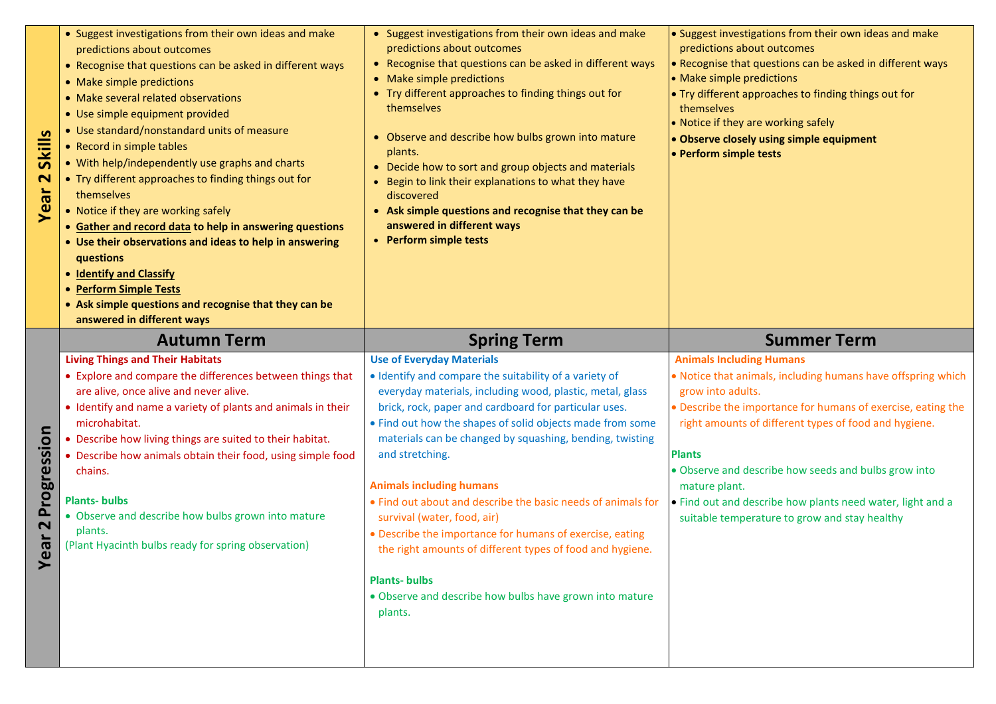| <b>S</b><br><b>Skill</b><br>$\overline{\mathbf{C}}$<br>Year | • Suggest investigations from their own ideas and make<br>predictions about outcomes<br>• Recognise that questions can be asked in different ways<br>• Make simple predictions<br>• Make several related observations<br>• Use simple equipment provided<br>• Use standard/nonstandard units of measure<br>• Record in simple tables<br>• With help/independently use graphs and charts<br>• Try different approaches to finding things out for<br>themselves<br>• Notice if they are working safely<br>• Gather and record data to help in answering questions<br>• Use their observations and ideas to help in answering<br>questions<br>• Identify and Classify<br>• Perform Simple Tests<br>• Ask simple questions and recognise that they can be<br>answered in different ways | • Suggest investigations from their own ideas and make<br>predictions about outcomes<br>• Recognise that questions can be asked in different ways<br>• Make simple predictions<br>• Try different approaches to finding things out for<br>themselves<br>• Observe and describe how bulbs grown into mature<br>plants.<br>• Decide how to sort and group objects and materials<br>• Begin to link their explanations to what they have<br>discovered<br>• Ask simple questions and recognise that they can be<br>answered in different ways<br>• Perform simple tests                                                                                                                                                                       | • Suggest investigations from their own ideas and make<br>predictions about outcomes<br>• Recognise that questions can be asked in different ways<br>• Make simple predictions<br>. Try different approaches to finding things out for<br>themselves<br>• Notice if they are working safely<br>. Observe closely using simple equipment<br>• Perform simple tests                                                                                                            |
|-------------------------------------------------------------|-------------------------------------------------------------------------------------------------------------------------------------------------------------------------------------------------------------------------------------------------------------------------------------------------------------------------------------------------------------------------------------------------------------------------------------------------------------------------------------------------------------------------------------------------------------------------------------------------------------------------------------------------------------------------------------------------------------------------------------------------------------------------------------|--------------------------------------------------------------------------------------------------------------------------------------------------------------------------------------------------------------------------------------------------------------------------------------------------------------------------------------------------------------------------------------------------------------------------------------------------------------------------------------------------------------------------------------------------------------------------------------------------------------------------------------------------------------------------------------------------------------------------------------------|------------------------------------------------------------------------------------------------------------------------------------------------------------------------------------------------------------------------------------------------------------------------------------------------------------------------------------------------------------------------------------------------------------------------------------------------------------------------------|
| Progression<br>$\overline{\mathbf{N}}$<br>ar<br>بو<br>ح     | <b>Autumn Term</b><br><b>Living Things and Their Habitats</b><br>• Explore and compare the differences between things that<br>are alive, once alive and never alive.<br>• Identify and name a variety of plants and animals in their<br>microhabitat.<br>• Describe how living things are suited to their habitat.<br>• Describe how animals obtain their food, using simple food<br>chains.<br><b>Plants-bulbs</b><br>• Observe and describe how bulbs grown into mature<br>plants.<br>(Plant Hyacinth bulbs ready for spring observation)                                                                                                                                                                                                                                         | <b>Spring Term</b><br><b>Use of Everyday Materials</b><br>• Identify and compare the suitability of a variety of<br>everyday materials, including wood, plastic, metal, glass<br>brick, rock, paper and cardboard for particular uses.<br>• Find out how the shapes of solid objects made from some<br>materials can be changed by squashing, bending, twisting<br>and stretching.<br><b>Animals including humans</b><br>• Find out about and describe the basic needs of animals for<br>survival (water, food, air)<br>• Describe the importance for humans of exercise, eating<br>the right amounts of different types of food and hygiene.<br><b>Plants-bulbs</b><br>. Observe and describe how bulbs have grown into mature<br>plants. | <b>Summer Term</b><br><b>Animals Including Humans</b><br>. Notice that animals, including humans have offspring which<br>grow into adults.<br>· Describe the importance for humans of exercise, eating the<br>right amounts of different types of food and hygiene.<br><b>Plants</b><br>. Observe and describe how seeds and bulbs grow into<br>mature plant.<br>. Find out and describe how plants need water, light and a<br>suitable temperature to grow and stay healthy |